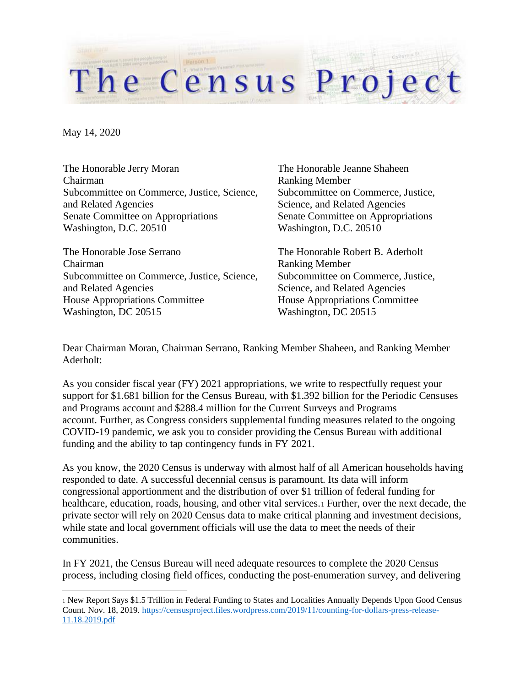May 14, 2020

The Honorable Jerry Moran Chairman Subcommittee on Commerce, Justice, Science, and Related Agencies Senate Committee on Appropriations Washington, D.C. 20510

The Honorable Jose Serrano Chairman Subcommittee on Commerce, Justice, Science, and Related Agencies House Appropriations Committee Washington, DC 20515

The Honorable Jeanne Shaheen Ranking Member Subcommittee on Commerce, Justice, Science, and Related Agencies Senate Committee on Appropriations Washington, D.C. 20510

The Honorable Robert B. Aderholt Ranking Member Subcommittee on Commerce, Justice, Science, and Related Agencies House Appropriations Committee Washington, DC 20515

Dear Chairman Moran, Chairman Serrano, Ranking Member Shaheen, and Ranking Member Aderholt:

The Census Project

As you consider fiscal year (FY) 2021 appropriations, we write to respectfully request your support for \$1.681 billion for the Census Bureau, with \$1.392 billion for the Periodic Censuses and Programs account and \$288.4 million for the Current Surveys and Programs account. Further, as Congress considers supplemental funding measures related to the ongoing COVID-19 pandemic, we ask you to consider providing the Census Bureau with additional funding and the ability to tap contingency funds in FY 2021.

As you know, the 2020 Census is underway with almost half of all American households having responded to date. A successful decennial census is paramount. Its data will inform congressional apportionment and the distribution of over \$1 trillion of federal funding for healthcare, education, roads, housing, and other vital services.<sup>1</sup> Further, over the next decade, the private sector will rely on 2020 Census data to make critical planning and investment decisions, while state and local government officials will use the data to meet the needs of their communities.

In FY 2021, the Census Bureau will need adequate resources to complete the 2020 Census process, including closing field offices, conducting the post-enumeration survey, and delivering

<sup>1</sup> New Report Says \$1.5 Trillion in Federal Funding to States and Localities Annually Depends Upon Good Census Count. Nov. 18, 2019[. https://censusproject.files.wordpress.com/2019/11/counting-for-dollars-press-release-](https://censusproject.files.wordpress.com/2019/11/counting-for-dollars-press-release-11.18.2019.pdf)[11.18.2019.pdf](https://censusproject.files.wordpress.com/2019/11/counting-for-dollars-press-release-11.18.2019.pdf)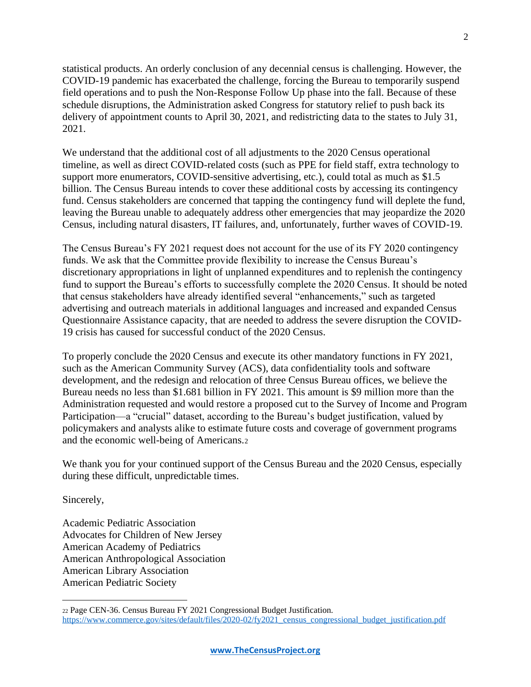statistical products. An orderly conclusion of any decennial census is challenging. However, the COVID-19 pandemic has exacerbated the challenge, forcing the Bureau to temporarily suspend field operations and to push the Non-Response Follow Up phase into the fall. Because of these schedule disruptions, the Administration asked Congress for statutory relief to push back its delivery of appointment counts to April 30, 2021, and redistricting data to the states to July 31, 2021.

We understand that the additional cost of all adjustments to the 2020 Census operational timeline, as well as direct COVID-related costs (such as PPE for field staff, extra technology to support more enumerators, COVID-sensitive advertising, etc.), could total as much as \$1.5 billion. The Census Bureau intends to cover these additional costs by accessing its contingency fund. Census stakeholders are concerned that tapping the contingency fund will deplete the fund, leaving the Bureau unable to adequately address other emergencies that may jeopardize the 2020 Census, including natural disasters, IT failures, and, unfortunately, further waves of COVID-19.

The Census Bureau's FY 2021 request does not account for the use of its FY 2020 contingency funds. We ask that the Committee provide flexibility to increase the Census Bureau's discretionary appropriations in light of unplanned expenditures and to replenish the contingency fund to support the Bureau's efforts to successfully complete the 2020 Census. It should be noted that census stakeholders have already identified several "enhancements," such as targeted advertising and outreach materials in additional languages and increased and expanded Census Questionnaire Assistance capacity, that are needed to address the severe disruption the COVID-19 crisis has caused for successful conduct of the 2020 Census.

To properly conclude the 2020 Census and execute its other mandatory functions in FY 2021, such as the American Community Survey (ACS), data confidentiality tools and software development, and the redesign and relocation of three Census Bureau offices, we believe the Bureau needs no less than \$1.681 billion in FY 2021. This amount is \$9 million more than the Administration requested and would restore a proposed cut to the Survey of Income and Program Participation—a "crucial" dataset, according to the Bureau's budget justification, valued by policymakers and analysts alike to estimate future costs and coverage of government programs and the economic well-being of Americans.<sup>2</sup>

We thank you for your continued support of the Census Bureau and the 2020 Census, especially during these difficult, unpredictable times.

Sincerely,

Academic Pediatric Association Advocates for Children of New Jersey American Academy of Pediatrics American Anthropological Association American Library Association American Pediatric Society

<sup>22</sup> Page CEN-36. Census Bureau FY 2021 Congressional Budget Justification. [https://www.commerce.gov/sites/default/files/2020-02/fy2021\\_census\\_congressional\\_budget\\_justification.pdf](https://www.commerce.gov/sites/default/files/2020-02/fy2021_census_congressional_budget_justification.pdf)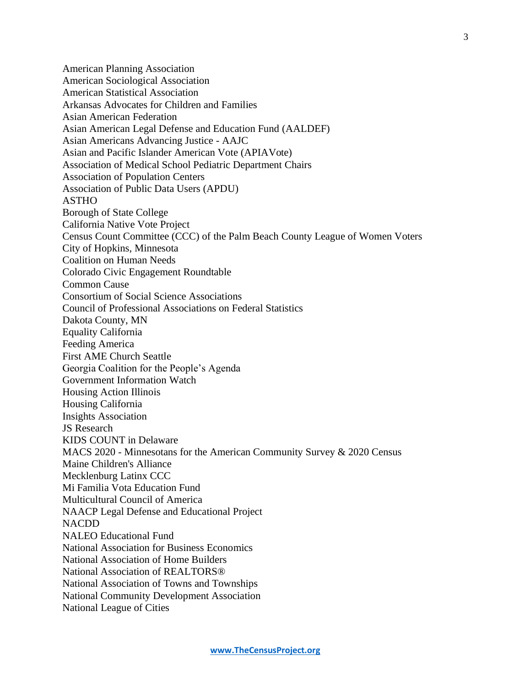American Planning Association American Sociological Association American Statistical Association Arkansas Advocates for Children and Families Asian American Federation Asian American Legal Defense and Education Fund (AALDEF) Asian Americans Advancing Justice - AAJC Asian and Pacific Islander American Vote (APIAVote) Association of Medical School Pediatric Department Chairs Association of Population Centers Association of Public Data Users (APDU) ASTHO Borough of State College California Native Vote Project Census Count Committee (CCC) of the Palm Beach County League of Women Voters City of Hopkins, Minnesota Coalition on Human Needs Colorado Civic Engagement Roundtable Common Cause Consortium of Social Science Associations Council of Professional Associations on Federal Statistics Dakota County, MN Equality California Feeding America First AME Church Seattle Georgia Coalition for the People's Agenda Government Information Watch Housing Action Illinois Housing California Insights Association JS Research KIDS COUNT in Delaware MACS 2020 - Minnesotans for the American Community Survey & 2020 Census Maine Children's Alliance Mecklenburg Latinx CCC Mi Familia Vota Education Fund Multicultural Council of America NAACP Legal Defense and Educational Project NACDD NALEO Educational Fund National Association for Business Economics National Association of Home Builders National Association of REALTORS® National Association of Towns and Townships National Community Development Association National League of Cities